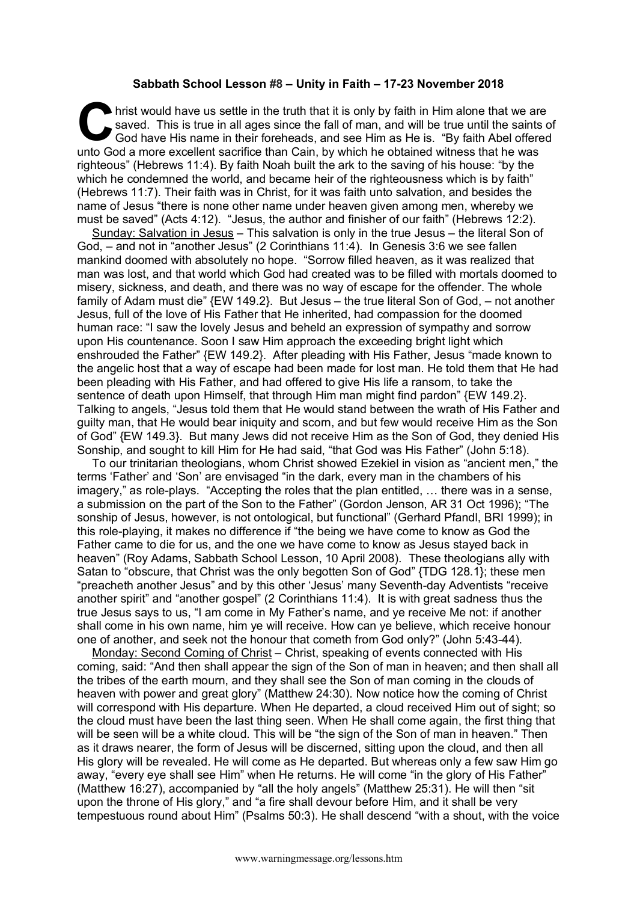## **Sabbath School Lesson #8 – Unity in Faith – 17-23 November 2018**

hrist would have us settle in the truth that it is only by faith in Him alone that we are saved. This is true in all ages since the fall of man, and will be true until the saints of God have His name in their foreheads, and see Him as He is. "By faith Abel offered unto God a more excellent sacrifice than Cain, by which he obtained witness that he was righteous" (Hebrews 11:4). By faith Noah built the ark to the saving of his house: "by the which he condemned the world, and became heir of the righteousness which is by faith" (Hebrews 11:7). Their faith was in Christ, for it was faith unto salvation, and besides the name of Jesus "there is none other name under heaven given among men, whereby we must be saved" (Acts 4:12). "Jesus, the author and finisher of our faith" (Hebrews 12:2). C say<br>God by God

Sunday: Salvation in Jesus – This salvation is only in the true Jesus – the literal Son of God, – and not in "another Jesus" (2 Corinthians 11:4). In Genesis 3:6 we see fallen mankind doomed with absolutely no hope. "Sorrow filled heaven, as it was realized that man was lost, and that world which God had created was to be filled with mortals doomed to misery, sickness, and death, and there was no way of escape for the offender. The whole family of Adam must die" {EW 149.2}. But Jesus – the true literal Son of God, – not another Jesus, full of the love of His Father that He inherited, had compassion for the doomed human race: "I saw the lovely Jesus and beheld an expression of sympathy and sorrow upon His countenance. Soon I saw Him approach the exceeding bright light which enshrouded the Father" {EW 149.2}. After pleading with His Father, Jesus "made known to the angelic host that a way of escape had been made for lost man. He told them that He had been pleading with His Father, and had offered to give His life a ransom, to take the sentence of death upon Himself, that through Him man might find pardon" {EW 149.2}. Talking to angels, "Jesus told them that He would stand between the wrath of His Father and guilty man, that He would bear iniquity and scorn, and but few would receive Him as the Son of God" {EW 149.3}. But many Jews did not receive Him as the Son of God, they denied His Sonship, and sought to kill Him for He had said, "that God was His Father" (John 5:18).

To our trinitarian theologians, whom Christ showed Ezekiel in vision as "ancient men," the terms 'Father' and 'Son' are envisaged "in the dark, every man in the chambers of his imagery," as role-plays. "Accepting the roles that the plan entitled, … there was in a sense, a submission on the part of the Son to the Father" (Gordon Jenson, AR 31 Oct 1996); "The sonship of Jesus, however, is not ontological, but functional" (Gerhard Pfandl, BRI 1999); in this role-playing, it makes no difference if "the being we have come to know as God the Father came to die for us, and the one we have come to know as Jesus stayed back in heaven" (Roy Adams, Sabbath School Lesson, 10 April 2008). These theologians ally with Satan to "obscure, that Christ was the only begotten Son of God" {TDG 128.1}; these men "preacheth another Jesus" and by this other 'Jesus' many Seventh-day Adventists "receive another spirit" and "another gospel" (2 Corinthians 11:4). It is with great sadness thus the true Jesus says to us, "I am come in My Father's name, and ye receive Me not: if another shall come in his own name, him ye will receive. How can ye believe, which receive honour one of another, and seek not the honour that cometh from God only?" (John 5:43-44).

Monday: Second Coming of Christ – Christ, speaking of events connected with His coming, said: "And then shall appear the sign of the Son of man in heaven; and then shall all the tribes of the earth mourn, and they shall see the Son of man coming in the clouds of heaven with power and great glory" (Matthew 24:30). Now notice how the coming of Christ will correspond with His departure. When He departed, a cloud received Him out of sight; so the cloud must have been the last thing seen. When He shall come again, the first thing that will be seen will be a white cloud. This will be "the sign of the Son of man in heaven." Then as it draws nearer, the form of Jesus will be discerned, sitting upon the cloud, and then all His glory will be revealed. He will come as He departed. But whereas only a few saw Him go away, "every eye shall see Him" when He returns. He will come "in the glory of His Father" (Matthew 16:27), accompanied by "all the holy angels" (Matthew 25:31). He will then "sit upon the throne of His glory," and "a fire shall devour before Him, and it shall be very tempestuous round about Him" (Psalms 50:3). He shall descend "with a shout, with the voice